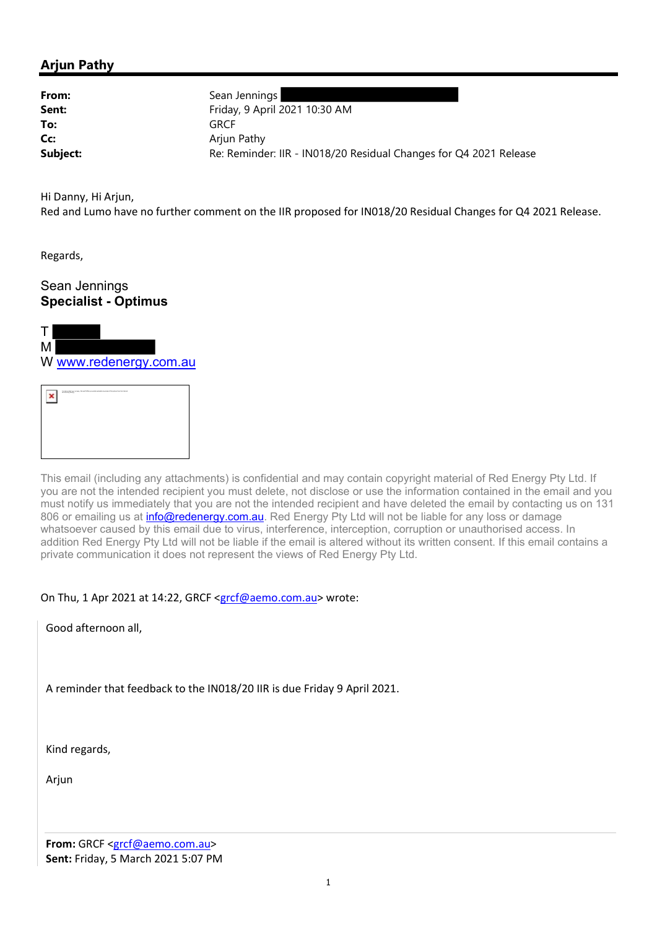# Arjun Pathy

| From:    | Sean Jennings                                                     |
|----------|-------------------------------------------------------------------|
| Sent:    | Friday, 9 April 2021 10:30 AM                                     |
| To:      | <b>GRCF</b>                                                       |
| Cc:      | Arjun Pathy                                                       |
| Subject: | Re: Reminder: IIR - IN018/20 Residual Changes for Q4 2021 Release |

Hi Danny, Hi Arjun,

Red and Lumo have no further comment on the IIR proposed for IN018/20 Residual Changes for Q4 2021 Release.

Regards,

## Sean Jennings Specialist - Optimus





This email (including any attachments) is confidential and may contain copyright material of Red Energy Pty Ltd. If you are not the intended recipient you must delete, not disclose or use the information contained in the email and you must notify us immediately that you are not the intended recipient and have deleted the email by contacting us on 131 806 or emailing us at *info@redenergy.com.au.* Red Energy Pty Ltd will not be liable for any loss or damage whatsoever caused by this email due to virus, interference, interception, corruption or unauthorised access. In addition Red Energy Pty Ltd will not be liable if the email is altered without its written consent. If this email contains a private communication it does not represent the views of Red Energy Pty Ltd.

On Thu, 1 Apr 2021 at 14:22, GRCF <grcf@aemo.com.au> wrote:

Good afternoon all,

A reminder that feedback to the IN018/20 IIR is due Friday 9 April 2021.

Kind regards,

Arjun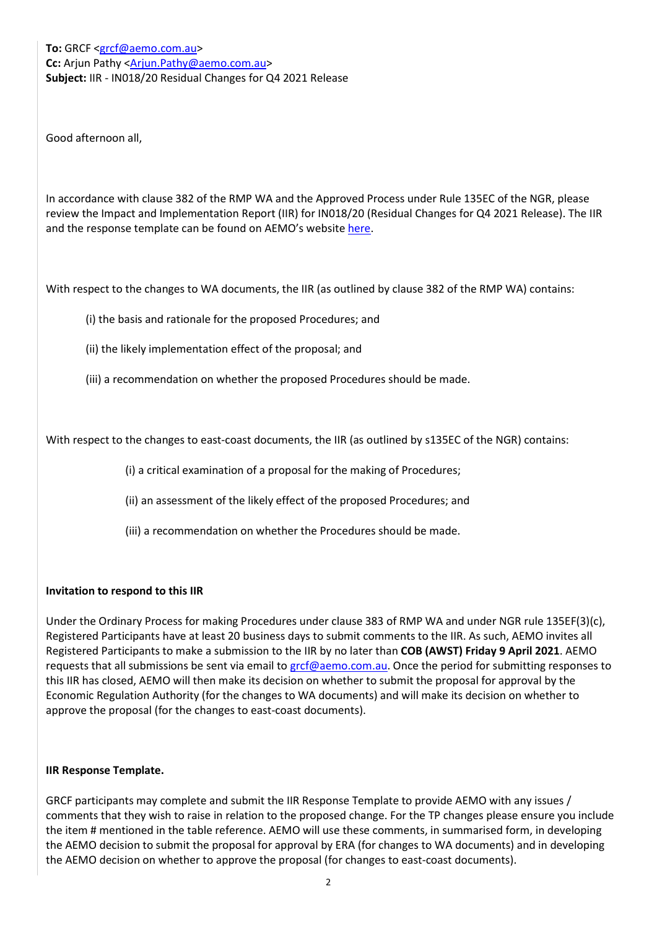To: GRCF <grcf@aemo.com.au> Cc: Arjun Pathy <Arjun.Pathy@aemo.com.au> Subject: IIR - IN018/20 Residual Changes for Q4 2021 Release

Good afternoon all,

In accordance with clause 382 of the RMP WA and the Approved Process under Rule 135EC of the NGR, please review the Impact and Implementation Report (IIR) for IN018/20 (Residual Changes for Q4 2021 Release). The IIR and the response template can be found on AEMO's website here.

With respect to the changes to WA documents, the IIR (as outlined by clause 382 of the RMP WA) contains:

(i) the basis and rationale for the proposed Procedures; and

(ii) the likely implementation effect of the proposal; and

(iii) a recommendation on whether the proposed Procedures should be made.

With respect to the changes to east-coast documents, the IIR (as outlined by s135EC of the NGR) contains:

(i) a critical examination of a proposal for the making of Procedures;

(ii) an assessment of the likely effect of the proposed Procedures; and

(iii) a recommendation on whether the Procedures should be made.

### Invitation to respond to this IIR

Under the Ordinary Process for making Procedures under clause 383 of RMP WA and under NGR rule 135EF(3)(c), Registered Participants have at least 20 business days to submit comments to the IIR. As such, AEMO invites all Registered Participants to make a submission to the IIR by no later than COB (AWST) Friday 9 April 2021. AEMO requests that all submissions be sent via email to grcf@aemo.com.au. Once the period for submitting responses to this IIR has closed, AEMO will then make its decision on whether to submit the proposal for approval by the Economic Regulation Authority (for the changes to WA documents) and will make its decision on whether to approve the proposal (for the changes to east-coast documents).

### IIR Response Template.

GRCF participants may complete and submit the IIR Response Template to provide AEMO with any issues / comments that they wish to raise in relation to the proposed change. For the TP changes please ensure you include the item # mentioned in the table reference. AEMO will use these comments, in summarised form, in developing the AEMO decision to submit the proposal for approval by ERA (for changes to WA documents) and in developing the AEMO decision on whether to approve the proposal (for changes to east-coast documents).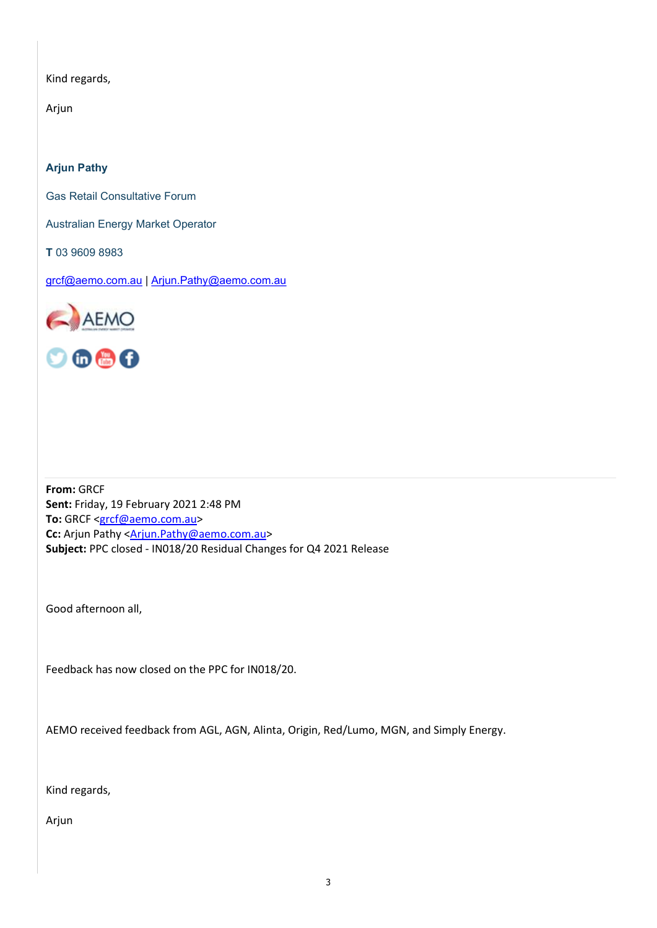Kind regards,

Arjun

Arjun Pathy

Gas Retail Consultative Forum

Australian Energy Market Operator

T 03 9609 8983

grcf@aemo.com.au | Arjun.Pathy@aemo.com.au





From: GRCF Sent: Friday, 19 February 2021 2:48 PM To: GRCF <grcf@aemo.com.au> Cc: Arjun Pathy <Arjun.Pathy@aemo.com.au> Subject: PPC closed - IN018/20 Residual Changes for Q4 2021 Release

Good afternoon all,

Feedback has now closed on the PPC for IN018/20.

AEMO received feedback from AGL, AGN, Alinta, Origin, Red/Lumo, MGN, and Simply Energy.

Kind regards,

Arjun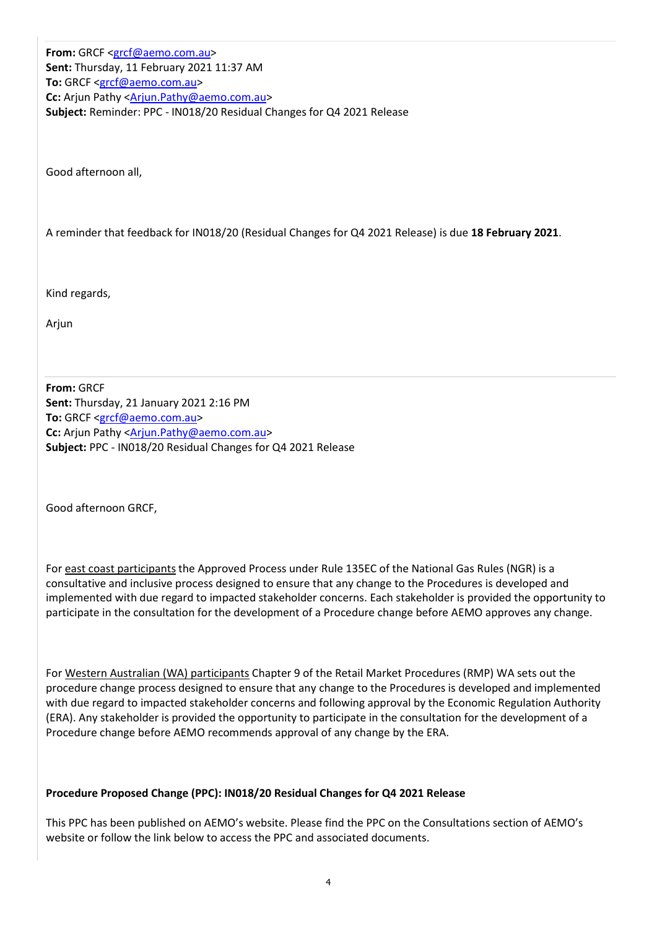From: GRCF <grcf@aemo.com.au> Sent: Thursday, 11 February 2021 11:37 AM To: GRCF <grcf@aemo.com.au> Cc: Arjun Pathy <Arjun.Pathy@aemo.com.au> Subject: Reminder: PPC - IN018/20 Residual Changes for Q4 2021 Release

Good afternoon all,

A reminder that feedback for IN018/20 (Residual Changes for Q4 2021 Release) is due 18 February 2021.

Kind regards,

Arjun

From: GRCF Sent: Thursday, 21 January 2021 2:16 PM To: GRCF <grcf@aemo.com.au> Cc: Arjun Pathy <Arjun.Pathy@aemo.com.au> Subject: PPC - IN018/20 Residual Changes for Q4 2021 Release

Good afternoon GRCF,

For east coast participants the Approved Process under Rule 135EC of the National Gas Rules (NGR) is a consultative and inclusive process designed to ensure that any change to the Procedures is developed and implemented with due regard to impacted stakeholder concerns. Each stakeholder is provided the opportunity to participate in the consultation for the development of a Procedure change before AEMO approves any change.

For Western Australian (WA) participants Chapter 9 of the Retail Market Procedures (RMP) WA sets out the procedure change process designed to ensure that any change to the Procedures is developed and implemented with due regard to impacted stakeholder concerns and following approval by the Economic Regulation Authority (ERA). Any stakeholder is provided the opportunity to participate in the consultation for the development of a Procedure change before AEMO recommends approval of any change by the ERA.

### Procedure Proposed Change (PPC): IN018/20 Residual Changes for Q4 2021 Release

This PPC has been published on AEMO's website. Please find the PPC on the Consultations section of AEMO's website or follow the link below to access the PPC and associated documents.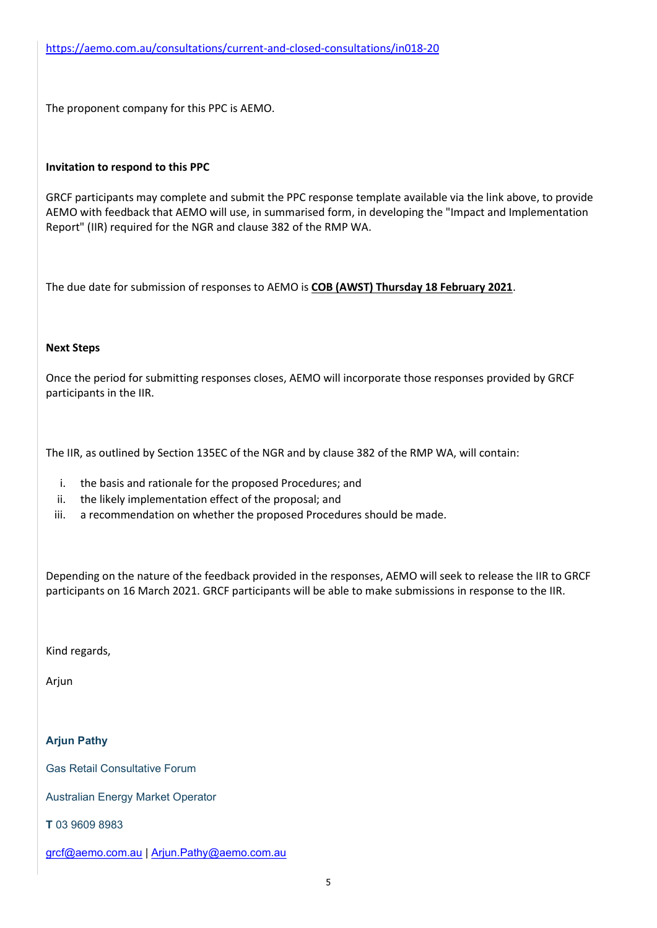The proponent company for this PPC is AEMO.

### Invitation to respond to this PPC

GRCF participants may complete and submit the PPC response template available via the link above, to provide AEMO with feedback that AEMO will use, in summarised form, in developing the "Impact and Implementation Report" (IIR) required for the NGR and clause 382 of the RMP WA.

The due date for submission of responses to AEMO is COB (AWST) Thursday 18 February 2021.

### Next Steps

Once the period for submitting responses closes, AEMO will incorporate those responses provided by GRCF participants in the IIR.

The IIR, as outlined by Section 135EC of the NGR and by clause 382 of the RMP WA, will contain:

- i. the basis and rationale for the proposed Procedures; and
- ii. the likely implementation effect of the proposal; and
- iii. a recommendation on whether the proposed Procedures should be made.

Depending on the nature of the feedback provided in the responses, AEMO will seek to release the IIR to GRCF participants on 16 March 2021. GRCF participants will be able to make submissions in response to the IIR.

Kind regards,

Arjun

### Arjun Pathy

Gas Retail Consultative Forum

Australian Energy Market Operator

T 03 9609 8983

grcf@aemo.com.au | Arjun.Pathy@aemo.com.au